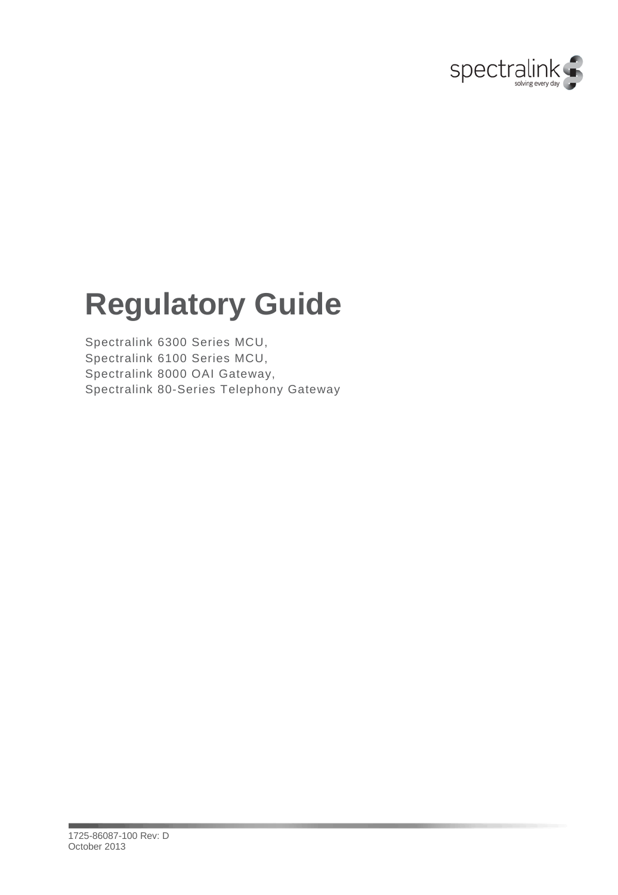

## **Regulatory Guide**

Spectralink 6300 Series MCU, Spectralink 6100 Series MCU, Spectralink 8000 OAI Gateway, Spectralink 80-Series Telephony Gateway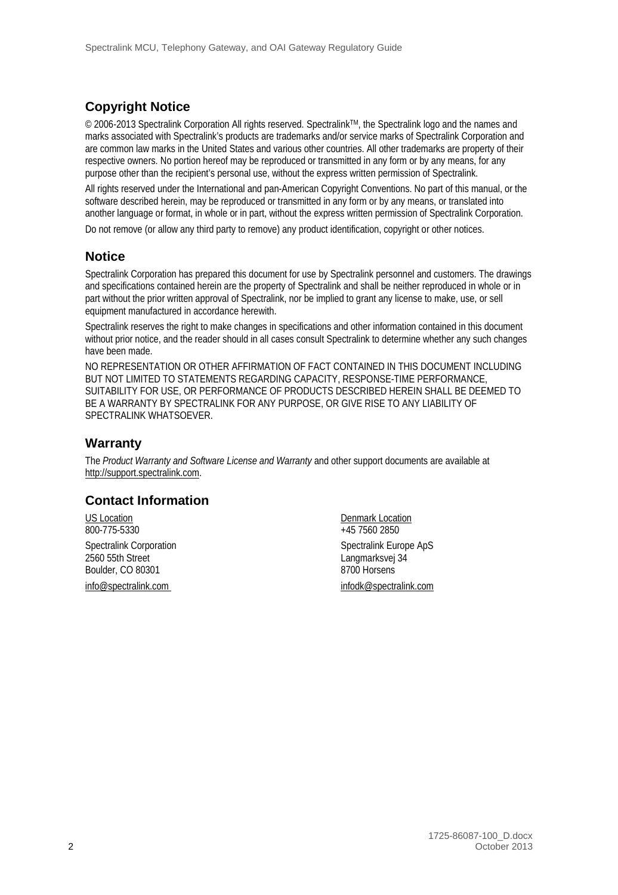#### **Copyright Notice**

© 2006-2013 Spectralink Corporation All rights reserved. SpectralinkTM, the Spectralink logo and the names and marks associated with Spectralink's products are trademarks and/or service marks of Spectralink Corporation and are common law marks in the United States and various other countries. All other trademarks are property of their respective owners. No portion hereof may be reproduced or transmitted in any form or by any means, for any purpose other than the recipient's personal use, without the express written permission of Spectralink.

All rights reserved under the International and pan-American Copyright Conventions. No part of this manual, or the software described herein, may be reproduced or transmitted in any form or by any means, or translated into another language or format, in whole or in part, without the express written permission of Spectralink Corporation. Do not remove (or allow any third party to remove) any product identification, copyright or other notices.

#### **Notice**

Spectralink Corporation has prepared this document for use by Spectralink personnel and customers. The drawings and specifications contained herein are the property of Spectralink and shall be neither reproduced in whole or in part without the prior written approval of Spectralink, nor be implied to grant any license to make, use, or sell equipment manufactured in accordance herewith.

Spectralink reserves the right to make changes in specifications and other information contained in this document without prior notice, and the reader should in all cases consult Spectralink to determine whether any such changes have been made.

NO REPRESENTATION OR OTHER AFFIRMATION OF FACT CONTAINED IN THIS DOCUMENT INCLUDING BUT NOT LIMITED TO STATEMENTS REGARDING CAPACITY, RESPONSE-TIME PERFORMANCE, SUITABILITY FOR USE, OR PERFORMANCE OF PRODUCTS DESCRIBED HEREIN SHALL BE DEEMED TO BE A WARRANTY BY SPECTRALINK FOR ANY PURPOSE, OR GIVE RISE TO ANY LIABILITY OF SPECTRALINK WHATSOEVER.

#### **Warranty**

The *Product Warranty and Software License and Warranty* and other support documents are available at [http://support.spectralink.com.](http://support.spectralink.com/)

#### **Contact Information**

US Location Denmark Location Denmark Location Denmark Location 2800-775-5330 2560 55th Street Langmarksvej 34 Boulder, CO 80301

 $+45$  7560 2850 Spectralink Corporation Spectralink Europe ApS [info@spectralink.com](mailto:info@spectralink.com) [infodk@spectralink.com](mailto:infodk@spectralink.com)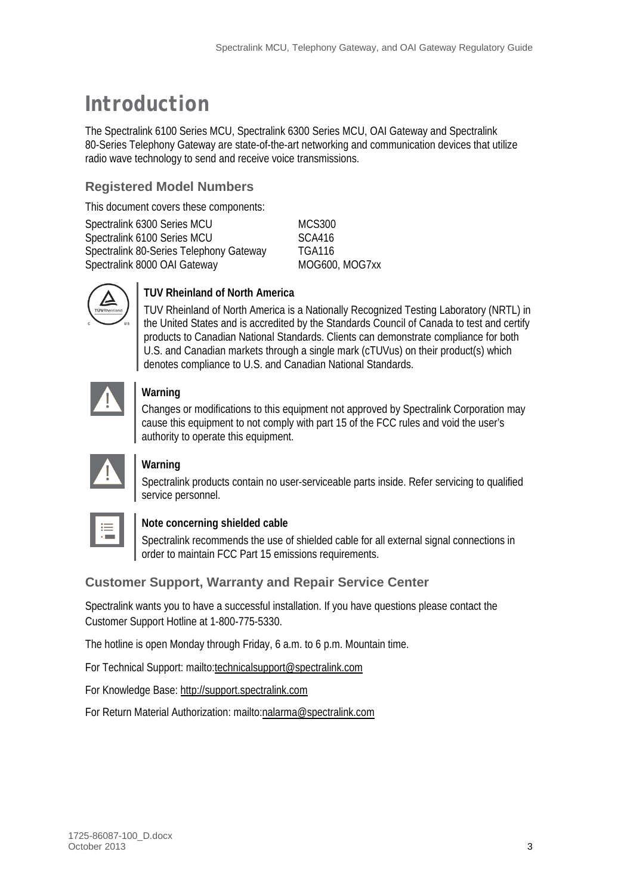### *Introduction*

The Spectralink 6100 Series MCU, Spectralink 6300 Series MCU, OAI Gateway and Spectralink 80-Series Telephony Gateway are state-of-the-art networking and communication devices that utilize radio wave technology to send and receive voice transmissions.

#### **Registered Model Numbers**

This document covers these components:

| Spectralink 6300 Series MCU             | MCS300        |
|-----------------------------------------|---------------|
| Spectralink 6100 Series MCU             | SCA416        |
| Spectralink 80-Series Telephony Gateway | <b>TGA116</b> |
| Spectralink 8000 OAI Gateway            | MOG600        |

**IOG600, MOG7xx** 



#### **TUV Rheinland of North America**

TUV Rheinland of North America is a Nationally Recognized Testing Laboratory (NRTL) in the United States and is accredited by the Standards Council of Canada to test and certify products to Canadian National Standards. Clients can demonstrate compliance for both U.S. and Canadian markets through a single mark (cTUVus) on their product(s) which denotes compliance to U.S. and Canadian National Standards.



#### **Warning**

Changes or modifications to this equipment not approved by Spectralink Corporation may cause this equipment to not comply with part 15 of the FCC rules and void the user's authority to operate this equipment.

|--|--|--|--|--|

#### **Warning**

Spectralink products contain no user-serviceable parts inside. Refer servicing to qualified service personnel.

#### **Note concerning shielded cable**

Spectralink recommends the use of shielded cable for all external signal connections in order to maintain FCC Part 15 emissions requirements.

#### **Customer Support, Warranty and Repair Service Center**

Spectralink wants you to have a successful installation. If you have questions please contact the Customer Support Hotline at 1-800-775-5330.

The hotline is open Monday through Friday, 6 a.m. to 6 p.m. Mountain time.

For Technical Support: mailto:technicalsupport@spectralink.com

For Knowledge Base: http://support.spectralink.com

For Return Material Authorization: mailto:nalarma@spectralink.com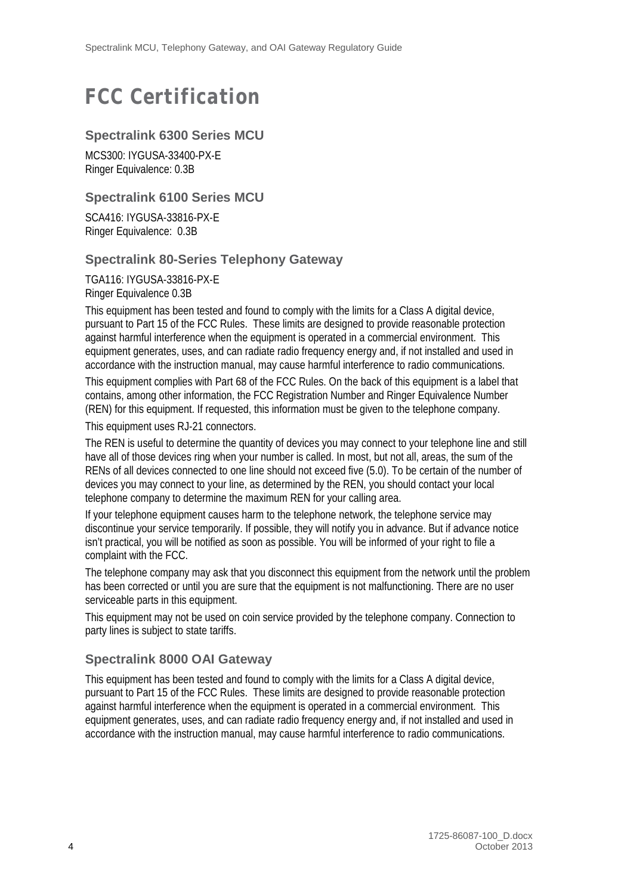### *FCC Certification*

#### **Spectralink 6300 Series MCU**

MCS300: IYGUSA-33400-PX-E Ringer Equivalence: 0.3B

#### **Spectralink 6100 Series MCU**

SCA416: IYGUSA-33816-PX-E Ringer Equivalence: 0.3B

#### **Spectralink 80-Series Telephony Gateway**

TGA116: IYGUSA-33816-PX-E Ringer Equivalence 0.3B

This equipment has been tested and found to comply with the limits for a Class A digital device, pursuant to Part 15 of the FCC Rules. These limits are designed to provide reasonable protection against harmful interference when the equipment is operated in a commercial environment. This equipment generates, uses, and can radiate radio frequency energy and, if not installed and used in accordance with the instruction manual, may cause harmful interference to radio communications.

This equipment complies with Part 68 of the FCC Rules. On the back of this equipment is a label that contains, among other information, the FCC Registration Number and Ringer Equivalence Number (REN) for this equipment. If requested, this information must be given to the telephone company.

This equipment uses RJ-21 connectors.

The REN is useful to determine the quantity of devices you may connect to your telephone line and still have all of those devices ring when your number is called. In most, but not all, areas, the sum of the RENs of all devices connected to one line should not exceed five (5.0). To be certain of the number of devices you may connect to your line, as determined by the REN, you should contact your local telephone company to determine the maximum REN for your calling area.

If your telephone equipment causes harm to the telephone network, the telephone service may discontinue your service temporarily. If possible, they will notify you in advance. But if advance notice isn't practical, you will be notified as soon as possible. You will be informed of your right to file a complaint with the FCC.

The telephone company may ask that you disconnect this equipment from the network until the problem has been corrected or until you are sure that the equipment is not malfunctioning. There are no user serviceable parts in this equipment.

This equipment may not be used on coin service provided by the telephone company. Connection to party lines is subject to state tariffs.

#### **Spectralink 8000 OAI Gateway**

This equipment has been tested and found to comply with the limits for a Class A digital device, pursuant to Part 15 of the FCC Rules. These limits are designed to provide reasonable protection against harmful interference when the equipment is operated in a commercial environment. This equipment generates, uses, and can radiate radio frequency energy and, if not installed and used in accordance with the instruction manual, may cause harmful interference to radio communications.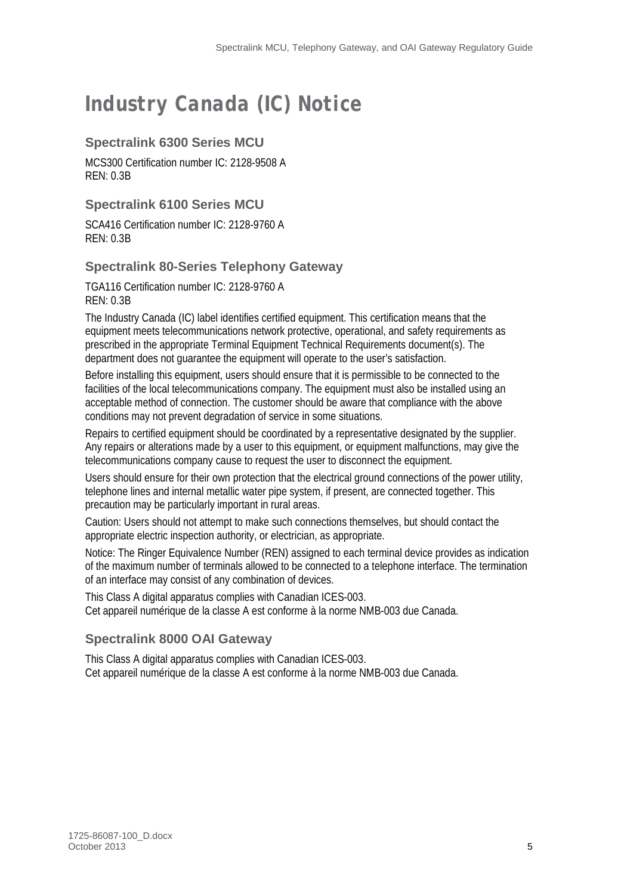## *Industry Canada (IC) Notice*

#### **Spectralink 6300 Series MCU**

MCS300 Certification number IC: 2128-9508 A REN: 0.3B

#### **Spectralink 6100 Series MCU**

SCA416 Certification number IC: 2128-9760 A REN: 0.3B

#### **Spectralink 80-Series Telephony Gateway**

TGA116 Certification number IC: 2128-9760 A REN: 0.3B

The Industry Canada (IC) label identifies certified equipment. This certification means that the equipment meets telecommunications network protective, operational, and safety requirements as prescribed in the appropriate Terminal Equipment Technical Requirements document(s). The department does not guarantee the equipment will operate to the user's satisfaction.

Before installing this equipment, users should ensure that it is permissible to be connected to the facilities of the local telecommunications company. The equipment must also be installed using an acceptable method of connection. The customer should be aware that compliance with the above conditions may not prevent degradation of service in some situations.

Repairs to certified equipment should be coordinated by a representative designated by the supplier. Any repairs or alterations made by a user to this equipment, or equipment malfunctions, may give the telecommunications company cause to request the user to disconnect the equipment.

Users should ensure for their own protection that the electrical ground connections of the power utility, telephone lines and internal metallic water pipe system, if present, are connected together. This precaution may be particularly important in rural areas.

Caution: Users should not attempt to make such connections themselves, but should contact the appropriate electric inspection authority, or electrician, as appropriate.

Notice: The Ringer Equivalence Number (REN) assigned to each terminal device provides as indication of the maximum number of terminals allowed to be connected to a telephone interface. The termination of an interface may consist of any combination of devices.

This Class A digital apparatus complies with Canadian ICES-003. Cet appareil numérique de la classe A est conforme à la norme NMB-003 due Canada.

#### **Spectralink 8000 OAI Gateway**

This Class A digital apparatus complies with Canadian ICES-003. Cet appareil numérique de la classe A est conforme à la norme NMB-003 due Canada.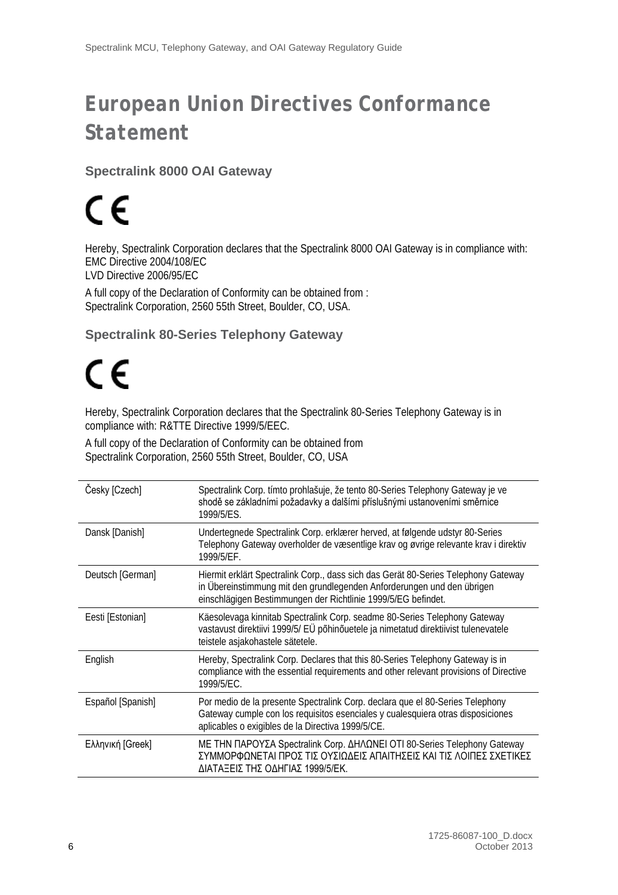## *European Union Directives Conformance Statement*

#### **Spectralink 8000 OAI Gateway**

# $\epsilon$

Hereby, Spectralink Corporation declares that the Spectralink 8000 OAI Gateway is in compliance with: EMC Directive 2004/108/EC

LVD Directive 2006/95/EC

A full copy of the Declaration of Conformity can be obtained from : Spectralink Corporation, 2560 55th Street, Boulder, CO, USA.

#### **Spectralink 80-Series Telephony Gateway**

## $\epsilon$

Hereby, Spectralink Corporation declares that the Spectralink 80-Series Telephony Gateway is in compliance with: R&TTE Directive 1999/5/EEC.

A full copy of the Declaration of Conformity can be obtained from Spectralink Corporation, 2560 55th Street, Boulder, CO, USA

| Česky [Czech]     | Spectralink Corp. tímto prohlašuje, že tento 80-Series Telephony Gateway je ve<br>shodě se základními požadavky a dalšími příslušnými ustanoveními směrnice<br>1999/5/ES.                                                     |
|-------------------|-------------------------------------------------------------------------------------------------------------------------------------------------------------------------------------------------------------------------------|
| Dansk [Danish]    | Undertegnede Spectralink Corp. erklærer herved, at følgende udstyr 80-Series<br>Telephony Gateway overholder de væsentlige krav og øvrige relevante krav i direktiv<br>1999/5/EF.                                             |
| Deutsch [German]  | Hiermit erklärt Spectralink Corp., dass sich das Gerät 80-Series Telephony Gateway<br>in Übereinstimmung mit den grundlegenden Anforderungen und den übrigen<br>einschlägigen Bestimmungen der Richtlinie 1999/5/EG befindet. |
| Eesti [Estonian]  | Käesolevaga kinnitab Spectralink Corp. seadme 80-Series Telephony Gateway<br>vastavust direktiivi 1999/5/ EÜ põhinõuetele ja nimetatud direktiivist tulenevatele<br>teistele asjakohastele sätetele.                          |
| English           | Hereby, Spectralink Corp. Declares that this 80-Series Telephony Gateway is in<br>compliance with the essential requirements and other relevant provisions of Directive<br>1999/5/EC.                                         |
| Español [Spanish] | Por medio de la presente Spectralink Corp. declara que el 80-Series Telephony<br>Gateway cumple con los requisitos esenciales y cualesquiera otras disposiciones<br>aplicables o exigibles de la Directiva 1999/5/CE.         |
| Ελληνική [Greek]  | ΜΕ ΤΗΝ ΠΑΡΟΥΣΑ Spectralink Corp. ΔΗΛΩΝΕΙ ΟΤΙ 80-Series Telephony Gateway<br>ΣΥΜΜΟΡΦΩΝΕΤΑΙ ΠΡΟΣ ΤΙΣ ΟΥΣΙΩΔΕΙΣ ΑΠΑΙΤΗΣΕΙΣ ΚΑΙ ΤΙΣ ΛΟΙΠΕΣ ΣΧΕΤΙΚΕΣ<br>ΛΙΑΤΑΞΕΙΣ ΤΗΣ ΟΛΗΓΙΑΣ 1999/5/ΕΚ.                                           |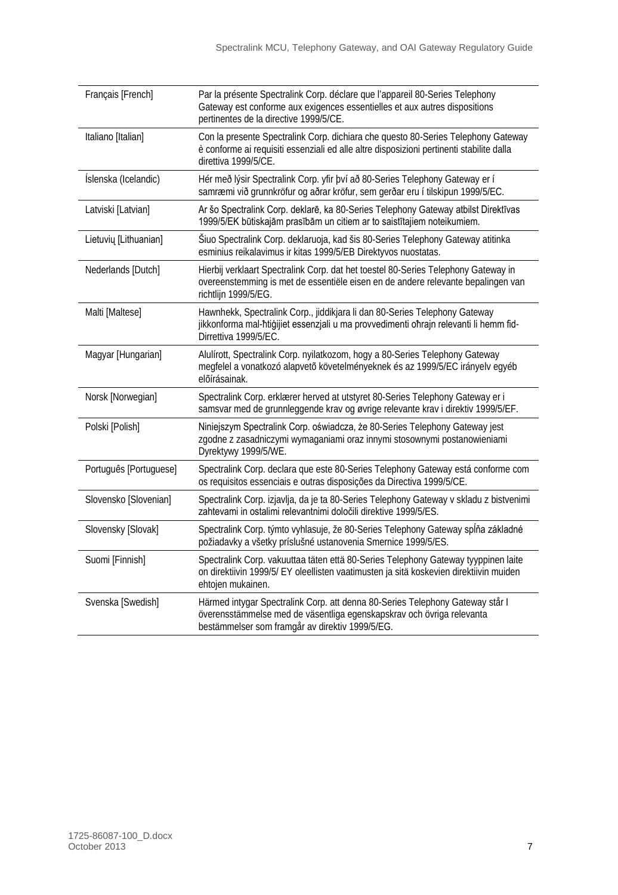| Français [French]      | Par la présente Spectralink Corp. déclare que l'appareil 80-Series Telephony<br>Gateway est conforme aux exigences essentielles et aux autres dispositions<br>pertinentes de la directive 1999/5/CE.      |
|------------------------|-----------------------------------------------------------------------------------------------------------------------------------------------------------------------------------------------------------|
| Italiano [Italian]     | Con la presente Spectralink Corp. dichiara che questo 80-Series Telephony Gateway<br>è conforme ai requisiti essenziali ed alle altre disposizioni pertinenti stabilite dalla<br>direttiva 1999/5/CE.     |
| Íslenska (Icelandic)   | Hér með lýsir Spectralink Corp. yfir því að 80-Series Telephony Gateway er í<br>samræmi við grunnkröfur og aðrar kröfur, sem gerðar eru í tilskipun 1999/5/EC.                                            |
| Latviski [Latvian]     | Ar šo Spectralink Corp. deklarē, ka 80-Series Telephony Gateway atbilst Direktīvas<br>1999/5/EK būtiskajām prasībām un citiem ar to saistītajiem noteikumiem.                                             |
| Lietuvių [Lithuanian]  | Šiuo Spectralink Corp. deklaruoja, kad šis 80-Series Telephony Gateway atitinka<br>esminius reikalavimus ir kitas 1999/5/EB Direktyvos nuostatas.                                                         |
| Nederlands [Dutch]     | Hierbij verklaart Spectralink Corp. dat het toestel 80-Series Telephony Gateway in<br>overeenstemming is met de essentiële eisen en de andere relevante bepalingen van<br>richtlijn 1999/5/EG.            |
| Malti [Maltese]        | Hawnhekk, Spectralink Corp., jiddikjara li dan 80-Series Telephony Gateway<br>jikkonforma mal-htigijiet essenzjali u ma provvedimenti ohrajn relevanti li hemm fid-<br>Dirrettiva 1999/5/EC.              |
| Magyar [Hungarian]     | Alulírott, Spectralink Corp. nyilatkozom, hogy a 80-Series Telephony Gateway<br>megfelel a vonatkozó alapvető követelményeknek és az 1999/5/EC irányelv egyéb<br>előírásainak.                            |
| Norsk [Norwegian]      | Spectralink Corp. erklærer herved at utstyret 80-Series Telephony Gateway er i<br>samsvar med de grunnleggende krav og øvrige relevante krav i direktiv 1999/5/EF.                                        |
| Polski [Polish]        | Niniejszym Spectralink Corp. oświadcza, że 80-Series Telephony Gateway jest<br>zgodne z zasadniczymi wymaganiami oraz innymi stosownymi postanowieniami<br>Dyrektywy 1999/5/WE.                           |
| Português [Portuguese] | Spectralink Corp. declara que este 80-Series Telephony Gateway está conforme com<br>os requisitos essenciais e outras disposições da Directiva 1999/5/CE.                                                 |
| Slovensko [Slovenian]  | Spectralink Corp. izjavlja, da je ta 80-Series Telephony Gateway v skladu z bistvenimi<br>zahtevami in ostalimi relevantnimi določili direktive 1999/5/ES.                                                |
| Slovensky [Slovak]     | Spectralink Corp. týmto vyhlasuje, že 80-Series Telephony Gateway spĺňa základné<br>požiadavky a všetky príslušné ustanovenia Smernice 1999/5/ES.                                                         |
| Suomi [Finnish]        | Spectralink Corp. vakuuttaa täten että 80-Series Telephony Gateway tyyppinen laite<br>on direktiivin 1999/5/ EY oleellisten vaatimusten ja sitä koskevien direktiivin muiden<br>ehtojen mukainen.         |
| Svenska [Swedish]      | Härmed intygar Spectralink Corp. att denna 80-Series Telephony Gateway står I<br>överensstämmelse med de väsentliga egenskapskrav och övriga relevanta<br>bestämmelser som framgår av direktiv 1999/5/EG. |